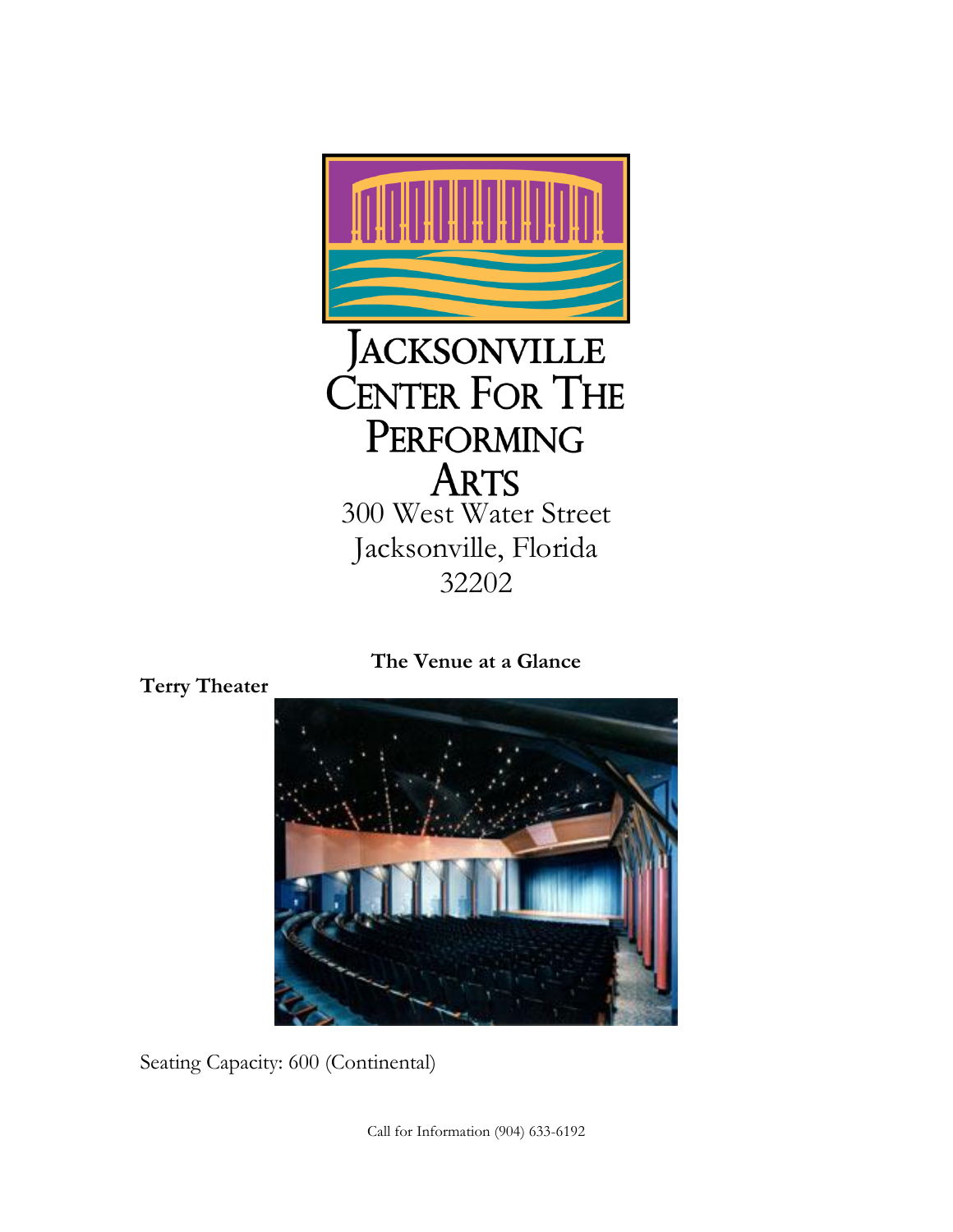

**The Venue at a Glance**



Seating Capacity: 600 (Continental)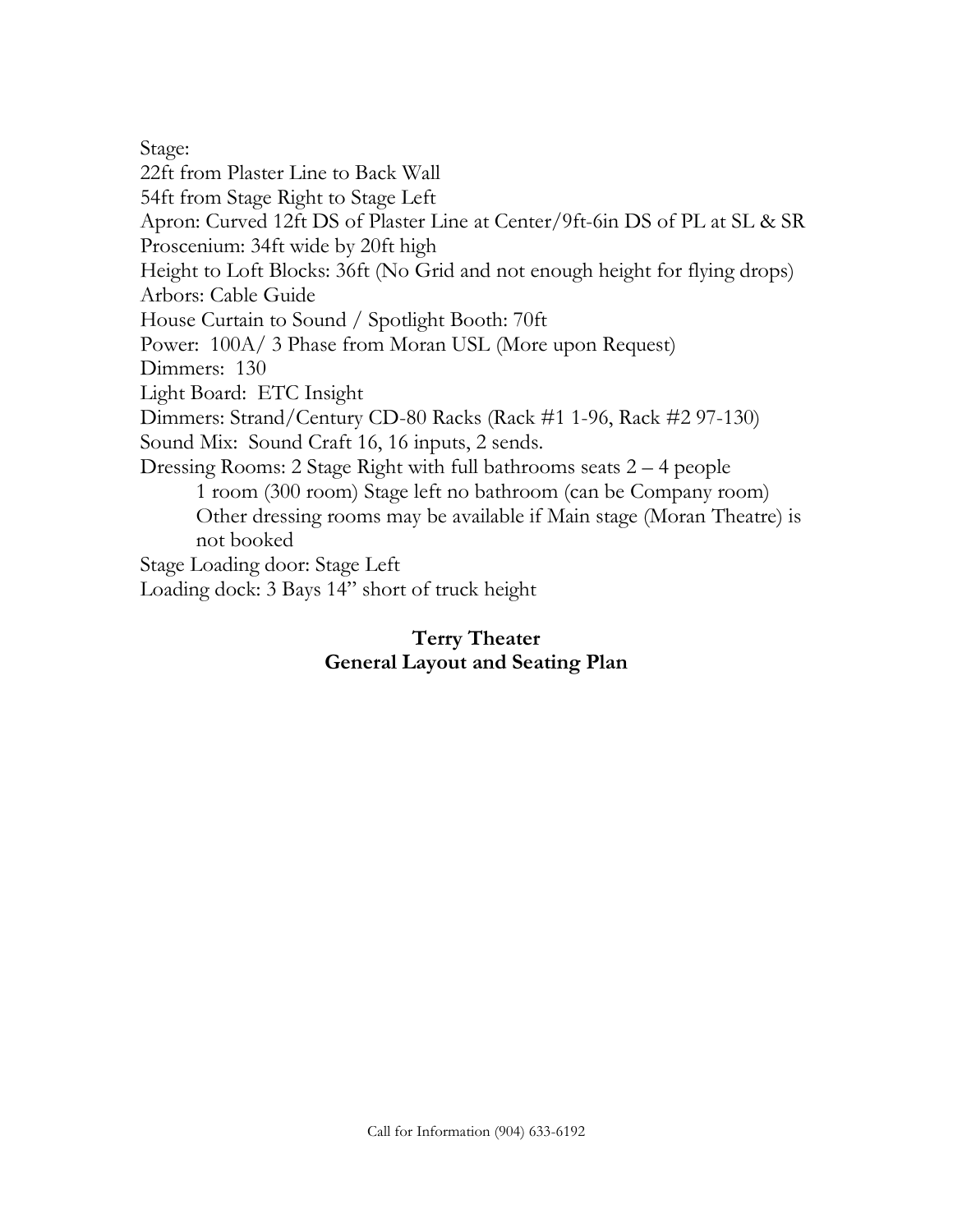Stage: 22ft from Plaster Line to Back Wall 54ft from Stage Right to Stage Left Apron: Curved 12ft DS of Plaster Line at Center/9ft-6in DS of PL at SL & SR Proscenium: 34ft wide by 20ft high Height to Loft Blocks: 36ft (No Grid and not enough height for flying drops) Arbors: Cable Guide House Curtain to Sound / Spotlight Booth: 70ft Power: 100A/ 3 Phase from Moran USL (More upon Request) Dimmers: 130 Light Board: ETC Insight Dimmers: Strand/Century CD-80 Racks (Rack #1 1-96, Rack #2 97-130) Sound Mix: Sound Craft 16, 16 inputs, 2 sends. Dressing Rooms: 2 Stage Right with full bathrooms seats 2 – 4 people 1 room (300 room) Stage left no bathroom (can be Company room) Other dressing rooms may be available if Main stage (Moran Theatre) is not booked Stage Loading door: Stage Left Loading dock: 3 Bays 14" short of truck height

## **Terry Theater General Layout and Seating Plan**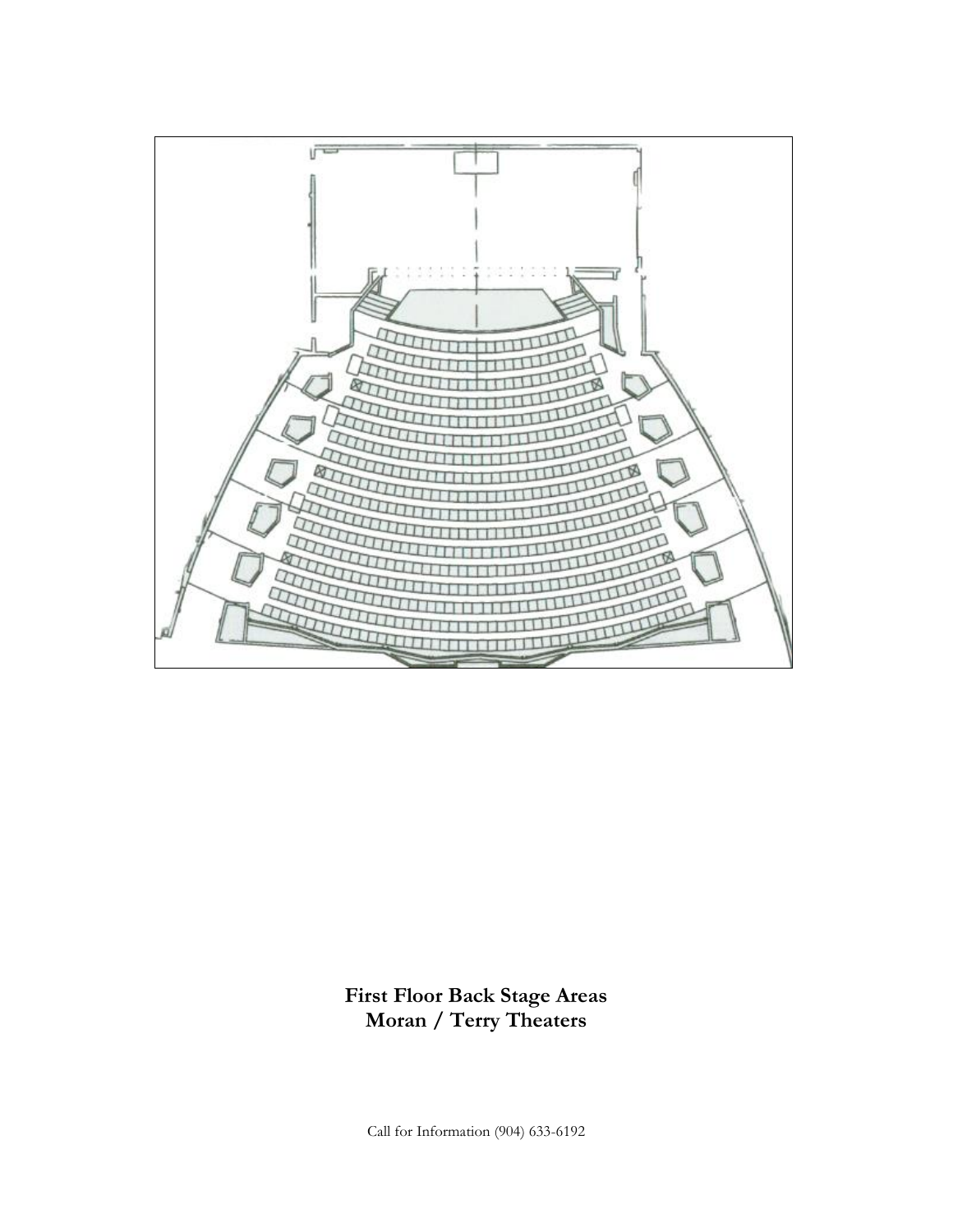

**First Floor Back Stage Areas Moran / Terry Theaters**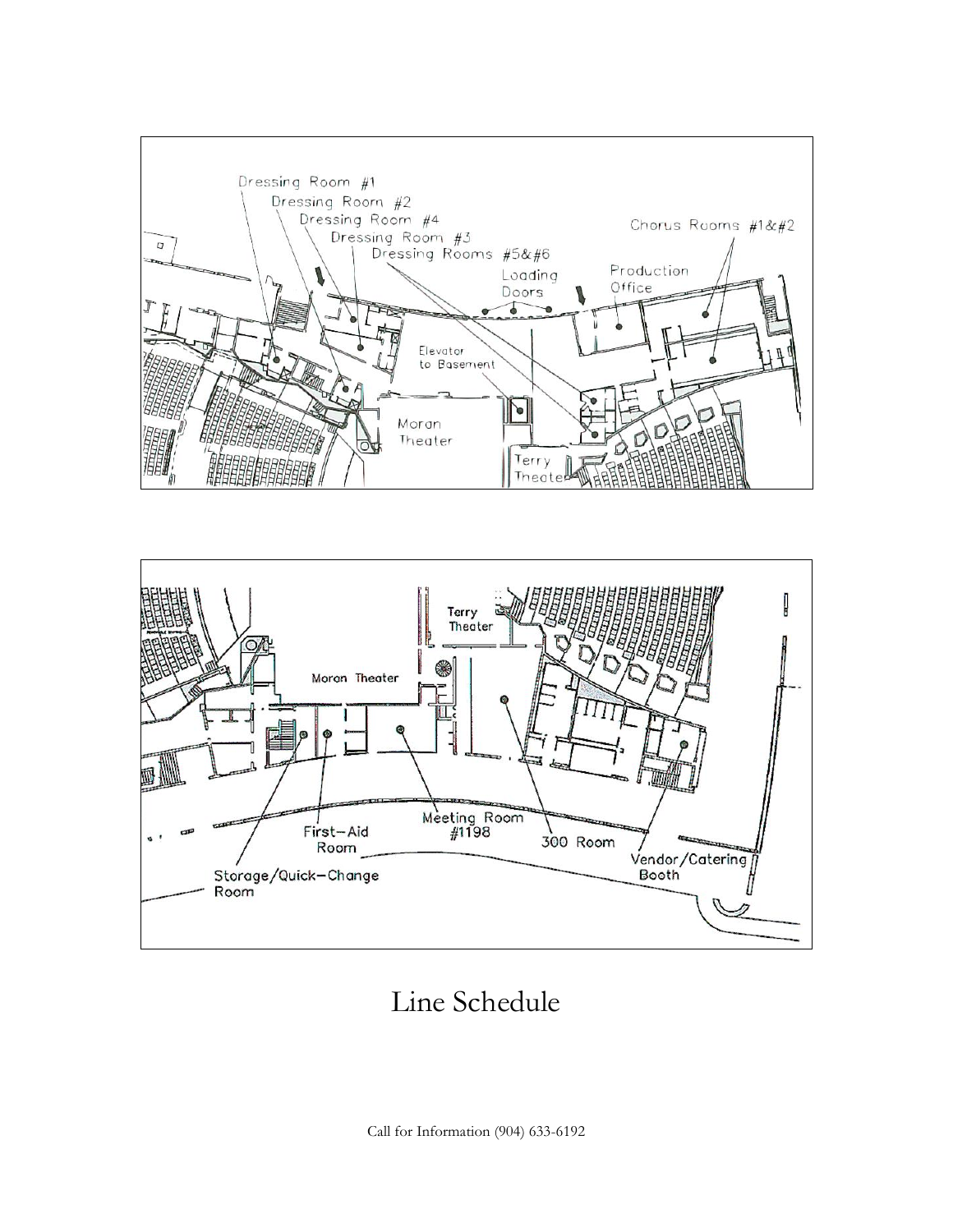



Line Schedule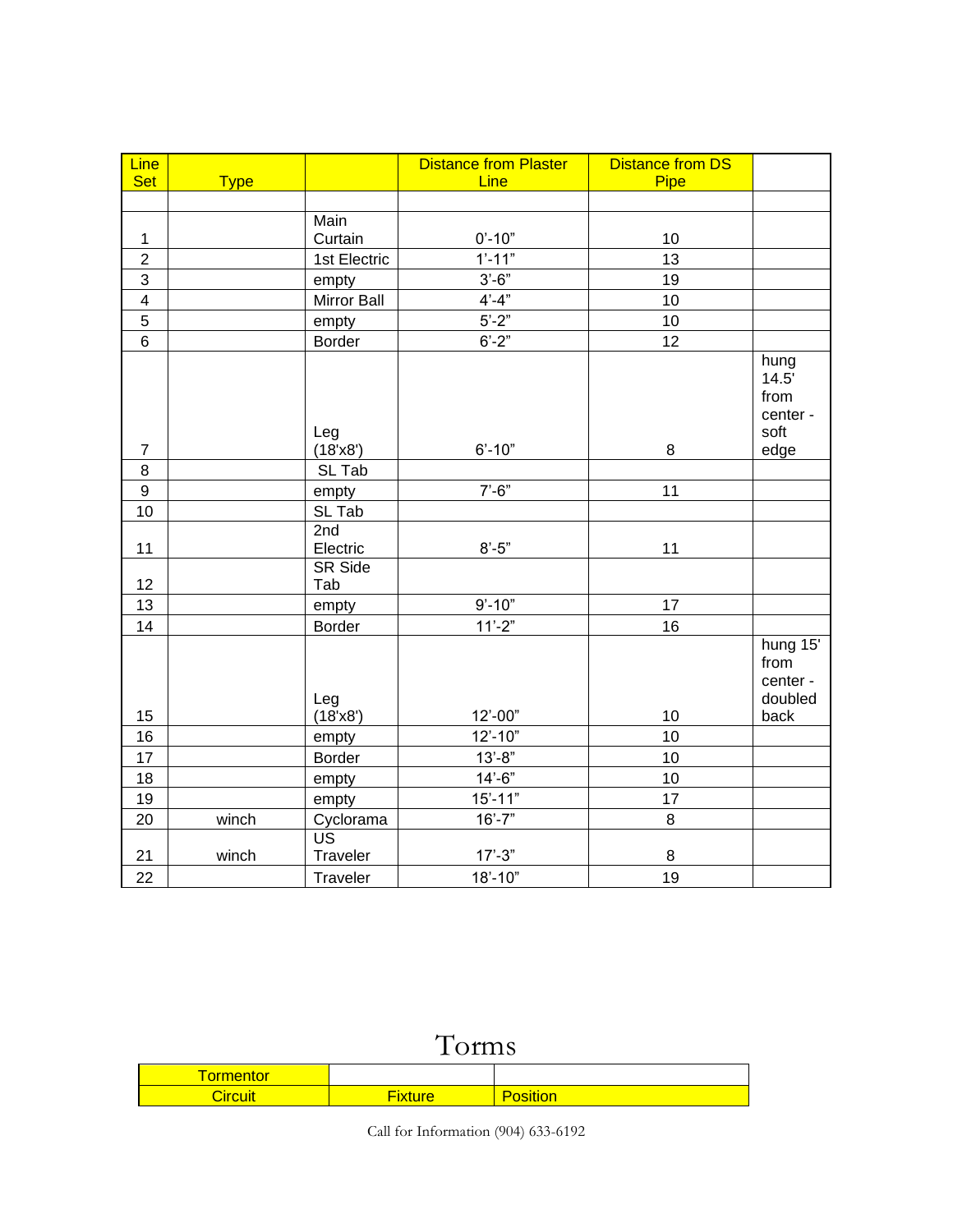| <b>Line</b>             |             |                       | <b>Distance from Plaster</b> | <b>Distance from DS</b> |                                                 |
|-------------------------|-------------|-----------------------|------------------------------|-------------------------|-------------------------------------------------|
| <b>Set</b>              | <b>Type</b> |                       | Line                         | Pipe                    |                                                 |
|                         |             |                       |                              |                         |                                                 |
|                         |             | Main                  |                              |                         |                                                 |
| $\mathbf{1}$            |             | Curtain               | $0' - 10"$                   | 10                      |                                                 |
| $\overline{c}$          |             | 1st Electric          | $1'-11"$                     | 13                      |                                                 |
| $\overline{3}$          |             | empty                 | $3'-6"$                      | 19                      |                                                 |
| $\overline{\mathbf{4}}$ |             | Mirror Ball           | $4' - 4''$                   | 10                      |                                                 |
| 5                       |             | empty                 | $5'-2"$                      | 10                      |                                                 |
| $\,6$                   |             | <b>Border</b>         | $6' - 2"$                    | 12                      |                                                 |
|                         |             |                       |                              |                         | hung<br>14.5'<br>from<br>center -               |
| $\boldsymbol{7}$        |             | Leg<br>(18'x8')       | $6' - 10"$                   | 8                       | soft<br>edge                                    |
| $\bf 8$                 |             | SL Tab                |                              |                         |                                                 |
| $\boldsymbol{9}$        |             | empty                 | $7' - 6''$                   | 11                      |                                                 |
| 10                      |             | SL Tab                |                              |                         |                                                 |
| 11                      |             | 2nd<br>Electric       | $8' - 5"$                    | 11                      |                                                 |
| 12                      |             | <b>SR Side</b><br>Tab |                              |                         |                                                 |
| 13                      |             | empty                 | $9' - 10"$                   | 17                      |                                                 |
| 14                      |             | Border                | $11'-2"$                     | 16                      |                                                 |
| 15                      |             | Leg<br>(18'x8')       | 12'-00"                      | 10                      | hung 15'<br>from<br>center -<br>doubled<br>back |
| 16                      |             | empty                 | $12' - 10"$                  | 10                      |                                                 |
| 17                      |             | Border                | $13 - 8"$                    | 10                      |                                                 |
| 18                      |             | empty                 | $14 - 6$                     | 10                      |                                                 |
| 19                      |             | empty                 | $15' - 11"$                  | 17                      |                                                 |
| 20                      | winch       | Cyclorama             | $16' - 7"$                   | 8                       |                                                 |
| 21                      | winch       | US<br>Traveler        | $17' - 3"$                   | 8                       |                                                 |
| 22                      |             | Traveler              | $18' - 10"$                  | 19                      |                                                 |

# Torms

| <b><i><u>ALCO</u></i></b><br>ΠΙΟΙ<br>υı |           |  |
|-----------------------------------------|-----------|--|
| <u>arcur</u>                            | --<br>ırc |  |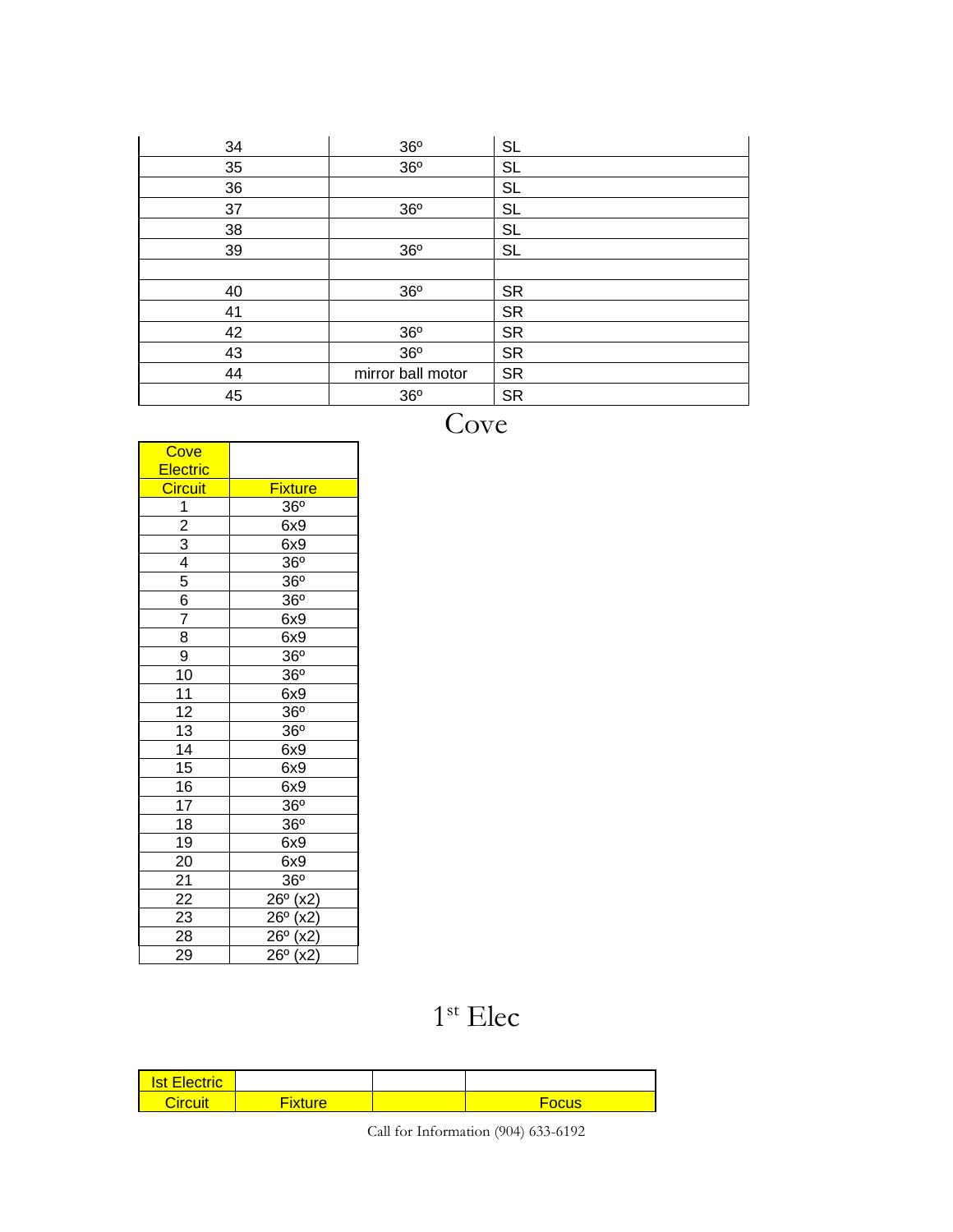| 34 | 36°               | <b>SL</b> |
|----|-------------------|-----------|
| 35 | 36°               | <b>SL</b> |
| 36 |                   | <b>SL</b> |
| 37 | 36 <sup>o</sup>   | <b>SL</b> |
| 38 |                   | <b>SL</b> |
| 39 | 36°               | <b>SL</b> |
|    |                   |           |
| 40 | 36°               | <b>SR</b> |
| 41 |                   | <b>SR</b> |
| 42 | 36°               | <b>SR</b> |
| 43 | 36°               | <b>SR</b> |
| 44 | mirror ball motor | <b>SR</b> |
| 45 | 36 <sup>o</sup>   | <b>SR</b> |

**Cove** 

| Cove                                            |                                                                      |
|-------------------------------------------------|----------------------------------------------------------------------|
| Electric                                        |                                                                      |
| <b>Circuit</b>                                  | <b>Fixture</b>                                                       |
|                                                 | 36°                                                                  |
|                                                 | 6x9                                                                  |
|                                                 | 6x9                                                                  |
|                                                 | 36 <sup>o</sup>                                                      |
| $\frac{1}{2}$ $\frac{3}{4}$ $\frac{4}{5}$       | 36 <sup>o</sup>                                                      |
| $\frac{6}{7}$                                   | 36 <sup>o</sup>                                                      |
|                                                 | 6x9                                                                  |
| $\frac{8}{9}$                                   | 6x9                                                                  |
|                                                 | 36 <sup>o</sup>                                                      |
|                                                 | 36 <sup>o</sup>                                                      |
|                                                 | 6x9                                                                  |
|                                                 | 36 <sup>o</sup>                                                      |
| $\frac{10}{11}$ $\frac{12}{13}$ $\frac{14}{15}$ | 36 <sup>o</sup>                                                      |
|                                                 | 6x9                                                                  |
|                                                 | 6x9                                                                  |
|                                                 | 6x9                                                                  |
| $\frac{16}{17}$                                 | $36^\circ$                                                           |
| $\overline{18}$                                 | 36 <sup>o</sup>                                                      |
| $\overline{19}$                                 | $\overline{6}$ x9                                                    |
| $\overline{20}$                                 | 6x9                                                                  |
| $\frac{21}{22}$                                 | $36^{\circ}$                                                         |
|                                                 | $\frac{1}{26^{\circ}}(x^2)$                                          |
| 23                                              | $26\overline{0}$<br>$\frac{\overline{(x2)}}{(x2)}$ $\overline{(x2)}$ |
| 28                                              | $26^{\circ}$                                                         |
| 29                                              | $26^{\circ}$                                                         |

st Elec

| <b>Ist Electric</b> |                |       |
|---------------------|----------------|-------|
| Circuit             | <b>Fixture</b> | Focus |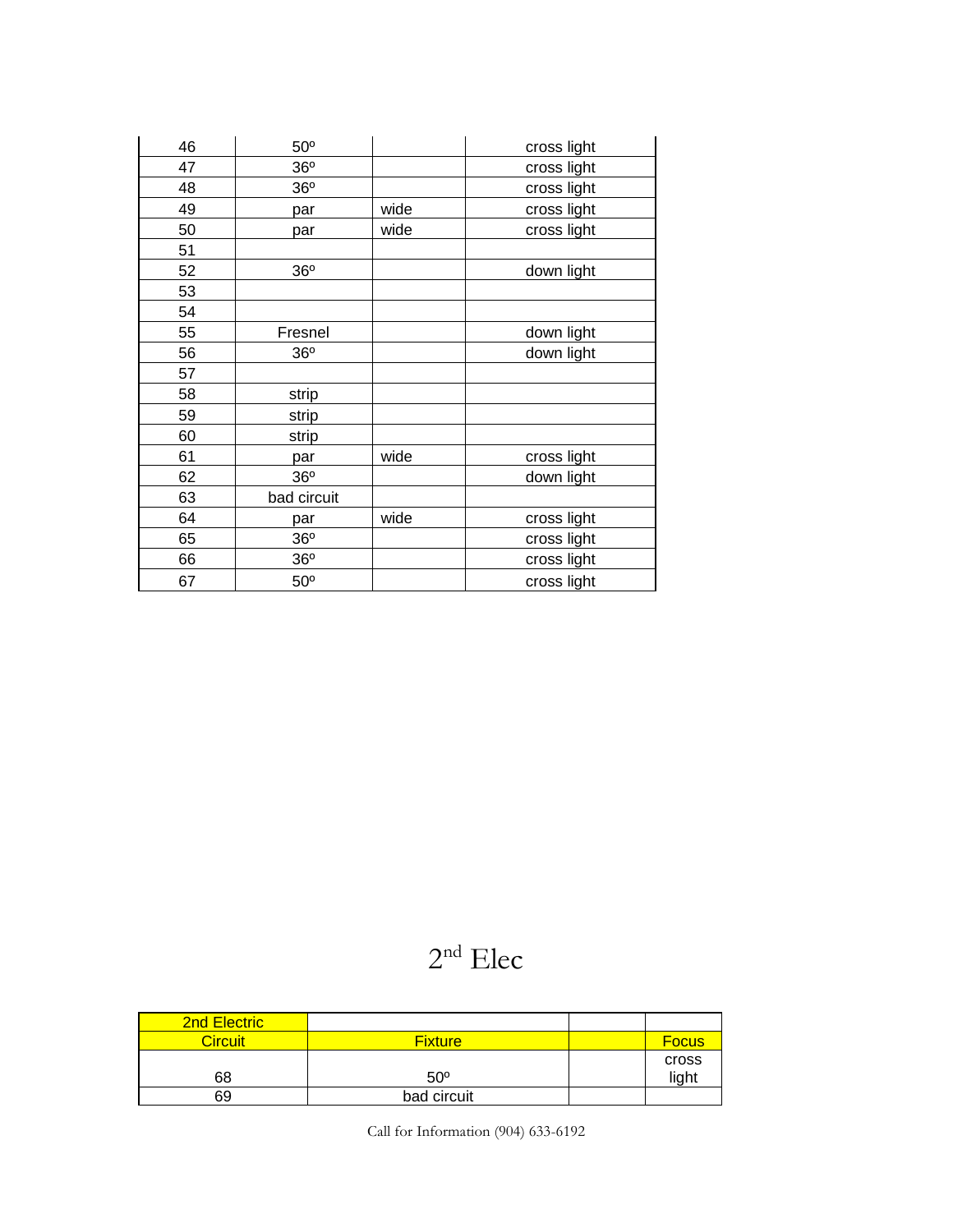| 46 | 50 <sup>o</sup> |      | cross light |
|----|-----------------|------|-------------|
| 47 | 36 <sup>o</sup> |      | cross light |
| 48 | 36 <sup>o</sup> |      | cross light |
| 49 | par             | wide | cross light |
| 50 | par             | wide | cross light |
| 51 |                 |      |             |
| 52 | 36 <sup>o</sup> |      | down light  |
| 53 |                 |      |             |
| 54 |                 |      |             |
| 55 | Fresnel         |      | down light  |
| 56 | 36 <sup>o</sup> |      | down light  |
| 57 |                 |      |             |
| 58 | strip           |      |             |
| 59 | strip           |      |             |
| 60 | strip           |      |             |
| 61 | par             | wide | cross light |
| 62 | 36 <sup>o</sup> |      | down light  |
| 63 | bad circuit     |      |             |
| 64 | par             | wide | cross light |
| 65 | 36 <sup>o</sup> |      | cross light |
| 66 | 36 <sup>o</sup> |      | cross light |
| 67 | 50 <sup>o</sup> |      | cross light |

## nd Elec

| <b>2nd Electric</b> |                |              |
|---------------------|----------------|--------------|
| <b>Circuit</b>      | <b>Fixture</b> | <b>Focus</b> |
|                     |                | cross        |
| 68                  | $50^\circ$     | light        |
| 69                  | bad circuit    |              |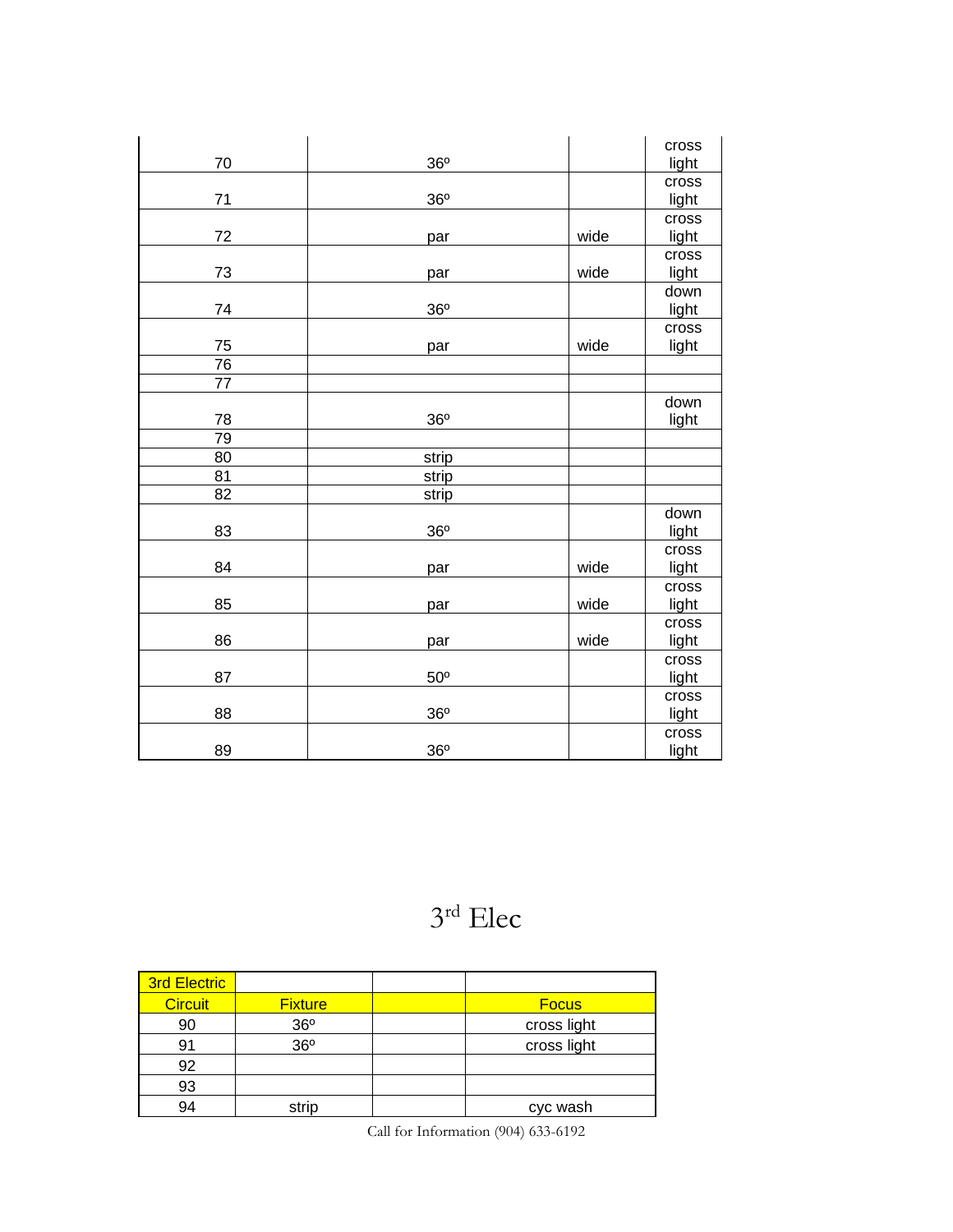|                 |                 |      | cross |
|-----------------|-----------------|------|-------|
| 70              | 36°             |      | light |
|                 |                 |      | cross |
| 71              | 36°             |      | light |
|                 |                 |      | cross |
| 72              | par             | wide | light |
|                 |                 |      | cross |
| 73              | par             | wide | light |
|                 |                 |      | down  |
| 74              | 36 <sup>o</sup> |      | light |
|                 |                 |      | cross |
| 75              | par             | wide | light |
| $\overline{76}$ |                 |      |       |
| 77              |                 |      |       |
|                 |                 |      | down  |
| 78              | 36°             |      | light |
| 79              |                 |      |       |
| 80              | strip           |      |       |
| 81              | strip           |      |       |
| 82              | strip           |      |       |
|                 |                 |      | down  |
| 83              | 36 <sup>o</sup> |      | light |
|                 |                 |      | cross |
| 84              | par             | wide | light |
|                 |                 |      | cross |
| 85              | par             | wide | light |
|                 |                 |      | cross |
| 86              | par             | wide | light |
|                 |                 |      | cross |
| 87              | 50 <sup>o</sup> |      | light |
|                 |                 |      | cross |
| 88              | 36 <sup>o</sup> |      | light |
|                 |                 |      | cross |
| 89              | 36 <sup>o</sup> |      | light |

## 3 rd Elec

| <b>3rd Electric</b> |                 |              |
|---------------------|-----------------|--------------|
| <b>Circuit</b>      | <b>Fixture</b>  | <b>Focus</b> |
| 90                  | 36°             | cross light  |
| 91                  | 36 <sup>o</sup> | cross light  |
| 92                  |                 |              |
| 93                  |                 |              |
| 94                  | strip           | cyc wash     |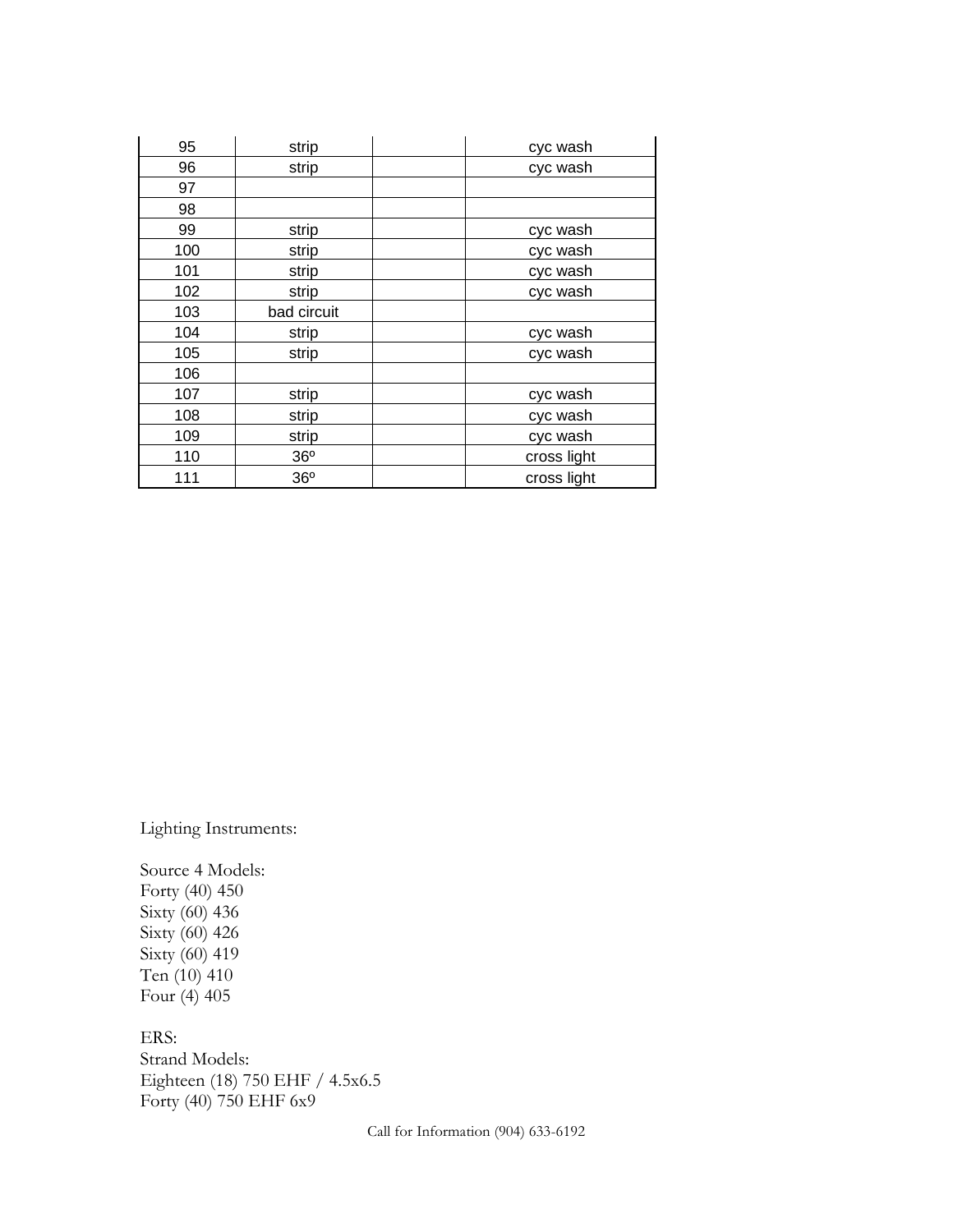| 95  | strip           | cyc wash    |
|-----|-----------------|-------------|
| 96  | strip           | cyc wash    |
| 97  |                 |             |
| 98  |                 |             |
| 99  | strip           | cyc wash    |
| 100 | strip           | cyc wash    |
| 101 | strip           | cyc wash    |
| 102 | strip           | cyc wash    |
| 103 | bad circuit     |             |
| 104 | strip           | cyc wash    |
| 105 | strip           | cyc wash    |
| 106 |                 |             |
| 107 | strip           | cyc wash    |
| 108 | strip           | cyc wash    |
| 109 | strip           | cyc wash    |
| 110 | 36 <sup>o</sup> | cross light |
| 111 | 36 <sup>o</sup> | cross light |

Lighting Instruments:

Source 4 Models: Forty (40) 450 Sixty (60) 436 Sixty (60) 426 Sixty (60) 419 Ten (10) 410 Four (4) 405

ERS: Strand Models: Eighteen (18) 750 EHF / 4.5x6.5 Forty (40) 750 EHF 6x9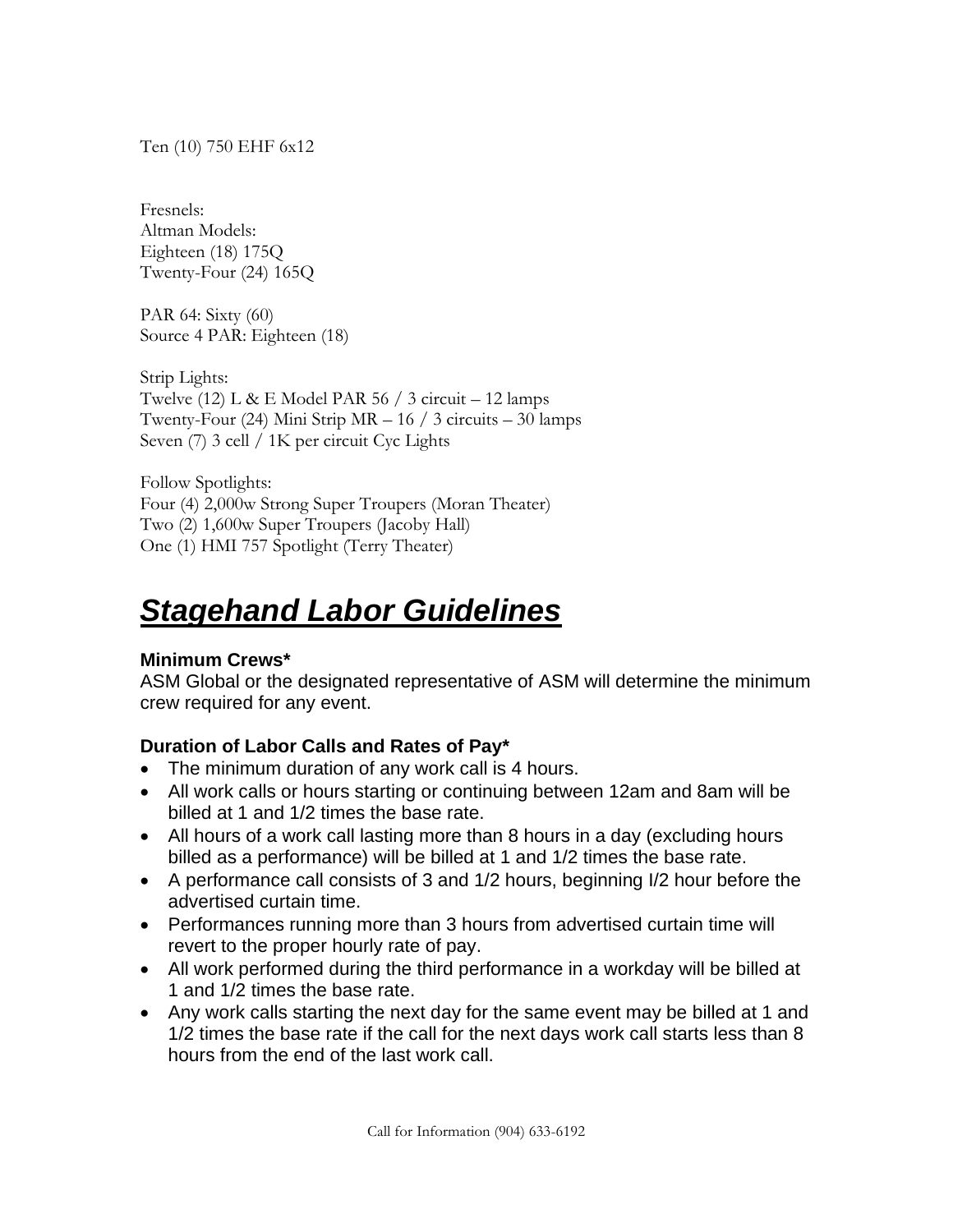Ten (10) 750 EHF 6x12

Fresnels: Altman Models: Eighteen (18) 175Q Twenty-Four (24) 165Q

PAR 64: Sixty (60) Source 4 PAR: Eighteen (18)

Strip Lights: Twelve (12) L & E Model PAR 56 / 3 circuit – 12 lamps Twenty-Four  $(24)$  Mini Strip MR  $-16/3$  circuits  $-30$  lamps Seven (7) 3 cell / 1K per circuit Cyc Lights

Follow Spotlights: Four (4) 2,000w Strong Super Troupers (Moran Theater) Two (2) 1,600w Super Troupers (Jacoby Hall) One (1) HMI 757 Spotlight (Terry Theater)

# *Stagehand Labor Guidelines*

## **Minimum Crews\***

ASM Global or the designated representative of ASM will determine the minimum crew required for any event.

## **Duration of Labor Calls and Rates of Pay\***

- The minimum duration of any work call is 4 hours.
- All work calls or hours starting or continuing between 12am and 8am will be billed at 1 and 1/2 times the base rate.
- All hours of a work call lasting more than 8 hours in a day (excluding hours billed as a performance) will be billed at 1 and 1/2 times the base rate.
- A performance call consists of 3 and 1/2 hours, beginning I/2 hour before the advertised curtain time.
- Performances running more than 3 hours from advertised curtain time will revert to the proper hourly rate of pay.
- All work performed during the third performance in a workday will be billed at 1 and 1/2 times the base rate.
- Any work calls starting the next day for the same event may be billed at 1 and 1/2 times the base rate if the call for the next days work call starts less than 8 hours from the end of the last work call.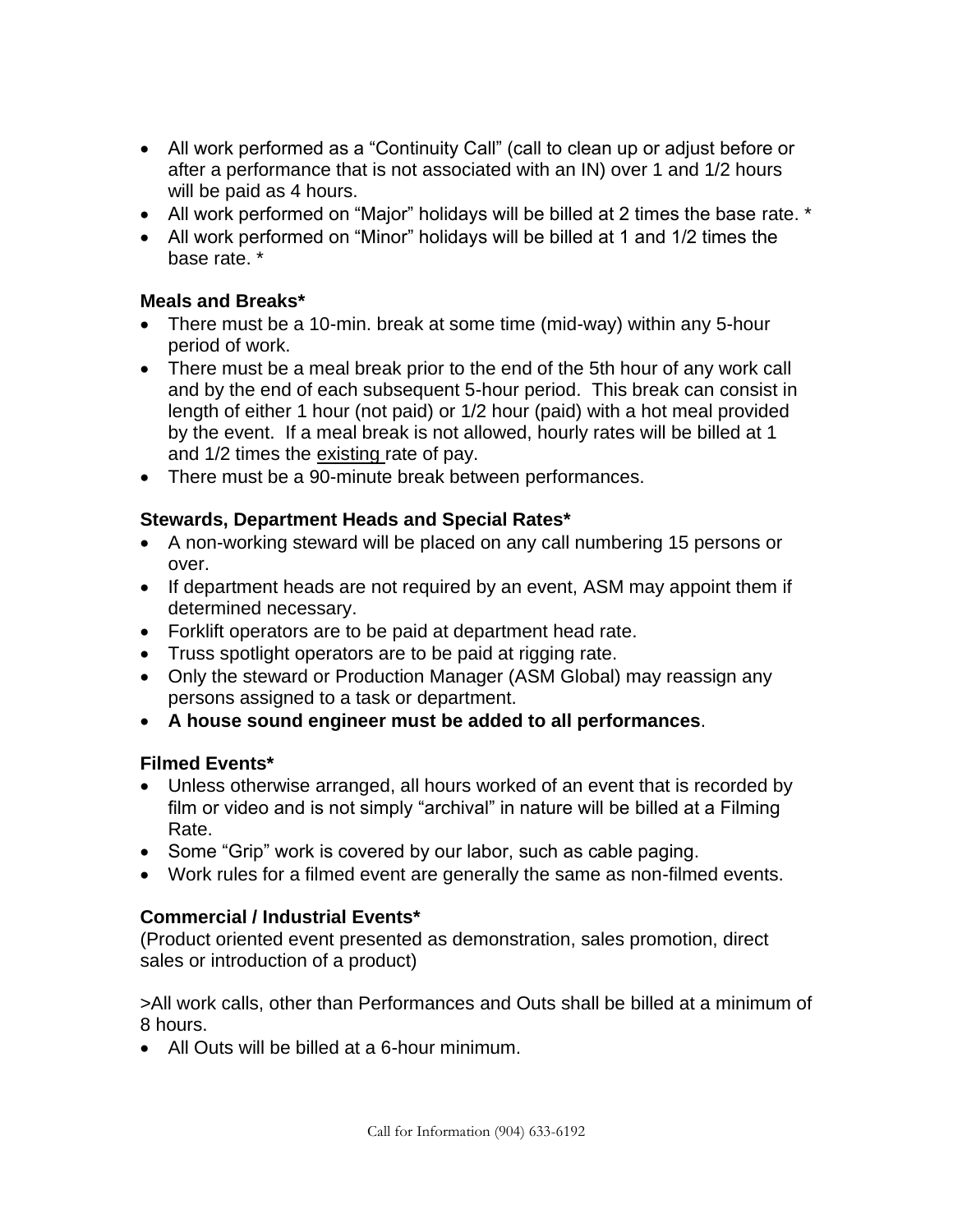- All work performed as a "Continuity Call" (call to clean up or adjust before or after a performance that is not associated with an IN) over 1 and 1/2 hours will be paid as 4 hours.
- All work performed on "Major" holidays will be billed at 2 times the base rate. \*
- All work performed on "Minor" holidays will be billed at 1 and 1/2 times the base rate. \*

## **Meals and Breaks\***

- There must be a 10-min. break at some time (mid-way) within any 5-hour period of work.
- There must be a meal break prior to the end of the 5th hour of any work call and by the end of each subsequent 5-hour period. This break can consist in length of either 1 hour (not paid) or 1/2 hour (paid) with a hot meal provided by the event. If a meal break is not allowed, hourly rates will be billed at 1 and 1/2 times the existing rate of pay.
- There must be a 90-minute break between performances.

## **Stewards, Department Heads and Special Rates\***

- A non-working steward will be placed on any call numbering 15 persons or over.
- If department heads are not required by an event, ASM may appoint them if determined necessary.
- Forklift operators are to be paid at department head rate.
- Truss spotlight operators are to be paid at rigging rate.
- Only the steward or Production Manager (ASM Global) may reassign any persons assigned to a task or department.
- **A house sound engineer must be added to all performances**.

## **Filmed Events\***

- Unless otherwise arranged, all hours worked of an event that is recorded by film or video and is not simply "archival" in nature will be billed at a Filming Rate.
- Some "Grip" work is covered by our labor, such as cable paging.
- Work rules for a filmed event are generally the same as non-filmed events.

## **Commercial / Industrial Events\***

(Product oriented event presented as demonstration, sales promotion, direct sales or introduction of a product)

>All work calls, other than Performances and Outs shall be billed at a minimum of 8 hours.

• All Outs will be billed at a 6-hour minimum.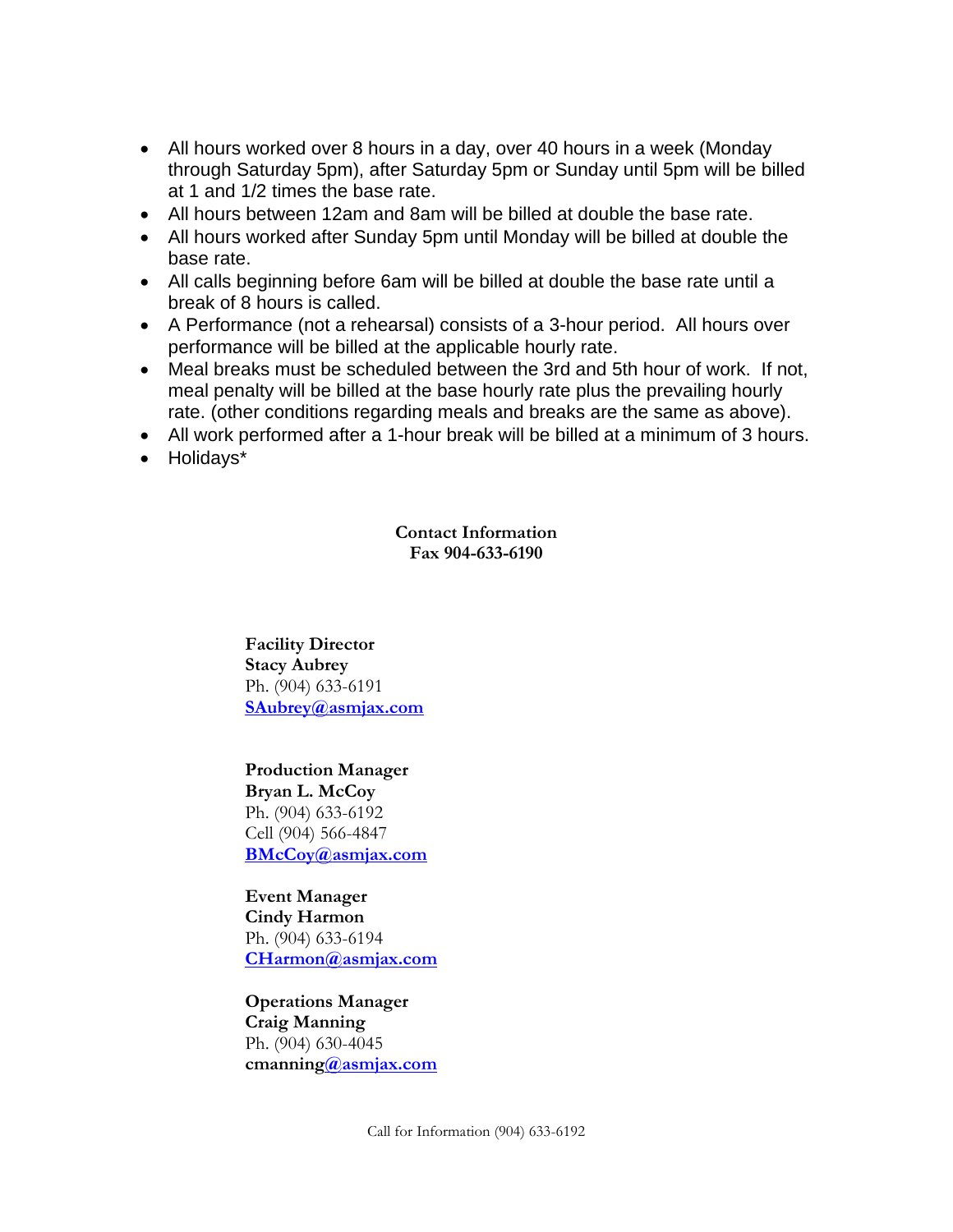- All hours worked over 8 hours in a day, over 40 hours in a week (Monday through Saturday 5pm), after Saturday 5pm or Sunday until 5pm will be billed at 1 and 1/2 times the base rate.
- All hours between 12am and 8am will be billed at double the base rate.
- All hours worked after Sunday 5pm until Monday will be billed at double the base rate.
- All calls beginning before 6am will be billed at double the base rate until a break of 8 hours is called.
- A Performance (not a rehearsal) consists of a 3-hour period. All hours over performance will be billed at the applicable hourly rate.
- Meal breaks must be scheduled between the 3rd and 5th hour of work. If not, meal penalty will be billed at the base hourly rate plus the prevailing hourly rate. (other conditions regarding meals and breaks are the same as above).
- All work performed after a 1-hour break will be billed at a minimum of 3 hours.
- Holidays\*

**Contact Information Fax 904-633-6190**

**Facility Director Stacy Aubrey** Ph. (904) 633-6191 **[SAubrey@asmjax.com](mailto:SAubrey@asmjax.com)**

**Production Manager Bryan L. McCoy** Ph. (904) 633-6192 Cell (904) 566-4847 **[BMcCoy@asmjax.com](mailto:BMcCoy@asmjax.com)**

**Event Manager Cindy Harmon**  Ph. (904) 633-6194 **[CHarmon@asmjax.com](mailto:CHarmon@asmjax.com)**

**Operations Manager Craig Manning** Ph. (904) 630-4045 **cmannin[g@asmjax.com](mailto:Terrance@smgjax.com)**